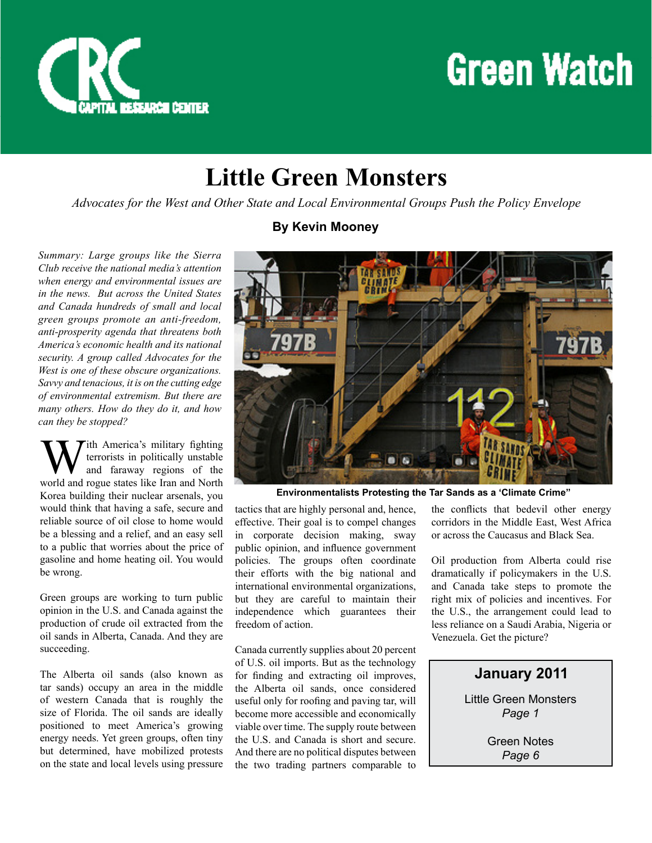

## **Green Watch**

### **Little Green Monsters**

*Advocates for the West and Other State and Local Environmental Groups Push the Policy Envelope*

*Summary: Large groups like the Sierra Club receive the national media's attention when energy and environmental issues are in the news. But across the United States and Canada hundreds of small and local green groups promote an anti-freedom, anti-prosperity agenda that threatens both America's economic health and its national security. A group called Advocates for the West is one of these obscure organizations. Savvy and tenacious, it is on the cutting edge of environmental extremism. But there are many others. How do they do it, and how can they be stopped?*

**W** terrorists in politically unstable<br>and faraway regions of the<br>world and rogue states like Iran and North Tith America's military fighting terrorists in politically unstable and faraway regions of the Korea building their nuclear arsenals, you would think that having a safe, secure and reliable source of oil close to home would be a blessing and a relief, and an easy sell to a public that worries about the price of gasoline and home heating oil. You would be wrong.

Green groups are working to turn public opinion in the U.S. and Canada against the production of crude oil extracted from the oil sands in Alberta, Canada. And they are succeeding.

The Alberta oil sands (also known as tar sands) occupy an area in the middle of western Canada that is roughly the size of Florida. The oil sands are ideally positioned to meet America's growing energy needs. Yet green groups, often tiny but determined, have mobilized protests on the state and local levels using pressure

#### **By Kevin Mooney**



**Environmentalists Protesting the Tar Sands as a 'Climate Crime"**

tactics that are highly personal and, hence, effective. Their goal is to compel changes in corporate decision making, sway public opinion, and influence government policies. The groups often coordinate their efforts with the big national and international environmental organizations, but they are careful to maintain their independence which guarantees their freedom of action.

Canada currently supplies about 20 percent of U.S. oil imports. But as the technology for finding and extracting oil improves, the Alberta oil sands, once considered useful only for roofing and paving tar, will become more accessible and economically viable over time. The supply route between the U.S. and Canada is short and secure. And there are no political disputes between the two trading partners comparable to

the conflicts that bedevil other energy corridors in the Middle East, West Africa or across the Caucasus and Black Sea.

Oil production from Alberta could rise dramatically if policymakers in the U.S. and Canada take steps to promote the right mix of policies and incentives. For the U.S., the arrangement could lead to less reliance on a Saudi Arabia, Nigeria or Venezuela. Get the picture?

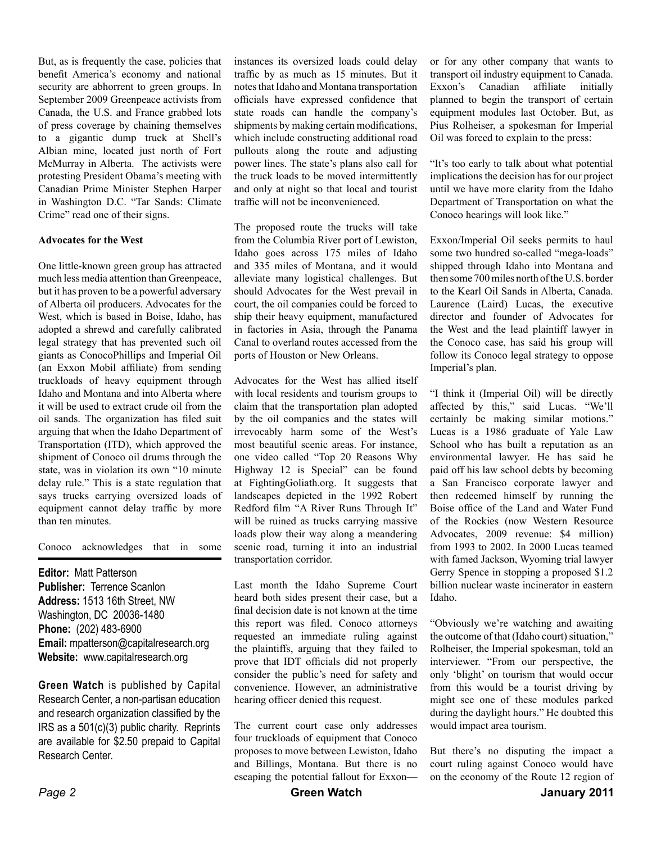But, as is frequently the case, policies that benefit America's economy and national security are abhorrent to green groups. In September 2009 Greenpeace activists from Canada, the U.S. and France grabbed lots of press coverage by chaining themselves to a gigantic dump truck at Shell's Albian mine, located just north of Fort McMurray in Alberta. The activists were protesting President Obama's meeting with Canadian Prime Minister Stephen Harper in Washington D.C. "Tar Sands: Climate Crime" read one of their signs.

#### **Advocates for the West**

One little-known green group has attracted much less media attention than Greenpeace, but it has proven to be a powerful adversary of Alberta oil producers. Advocates for the West, which is based in Boise, Idaho, has adopted a shrewd and carefully calibrated legal strategy that has prevented such oil giants as ConocoPhillips and Imperial Oil (an Exxon Mobil affiliate) from sending truckloads of heavy equipment through Idaho and Montana and into Alberta where it will be used to extract crude oil from the oil sands. The organization has filed suit arguing that when the Idaho Department of Transportation (ITD), which approved the shipment of Conoco oil drums through the state, was in violation its own "10 minute delay rule." This is a state regulation that says trucks carrying oversized loads of equipment cannot delay traffic by more than ten minutes.

Conoco acknowledges that in some

**Editor:** Matt Patterson **Publisher:** Terrence Scanlon **Address:** 1513 16th Street, NW Washington, DC 20036-1480 **Phone:** (202) 483-6900 **Email:** mpatterson@capitalresearch.org **Website:** www.capitalresearch.org

**Green Watch** is published by Capital Research Center, a non-partisan education and research organization classified by the IRS as a 501(c)(3) public charity. Reprints are available for \$2.50 prepaid to Capital Research Center.

instances its oversized loads could delay traffic by as much as 15 minutes. But it notes that Idaho and Montana transportation officials have expressed confidence that state roads can handle the company's shipments by making certain modifications, which include constructing additional road pullouts along the route and adjusting power lines. The state's plans also call for the truck loads to be moved intermittently and only at night so that local and tourist traffic will not be inconvenienced.

The proposed route the trucks will take from the Columbia River port of Lewiston, Idaho goes across 175 miles of Idaho and 335 miles of Montana, and it would alleviate many logistical challenges. But should Advocates for the West prevail in court, the oil companies could be forced to ship their heavy equipment, manufactured in factories in Asia, through the Panama Canal to overland routes accessed from the ports of Houston or New Orleans.

Advocates for the West has allied itself with local residents and tourism groups to claim that the transportation plan adopted by the oil companies and the states will irrevocably harm some of the West's most beautiful scenic areas. For instance, one video called "Top 20 Reasons Why Highway 12 is Special" can be found at FightingGoliath.org. It suggests that landscapes depicted in the 1992 Robert Redford film "A River Runs Through It" will be ruined as trucks carrying massive loads plow their way along a meandering scenic road, turning it into an industrial transportation corridor.

Last month the Idaho Supreme Court heard both sides present their case, but a final decision date is not known at the time this report was filed. Conoco attorneys requested an immediate ruling against the plaintiffs, arguing that they failed to prove that IDT officials did not properly consider the public's need for safety and convenience. However, an administrative hearing officer denied this request.

The current court case only addresses four truckloads of equipment that Conoco proposes to move between Lewiston, Idaho and Billings, Montana. But there is no escaping the potential fallout for Exxon—

or for any other company that wants to transport oil industry equipment to Canada. Exxon's Canadian affiliate initially planned to begin the transport of certain equipment modules last October. But, as Pius Rolheiser, a spokesman for Imperial Oil was forced to explain to the press:

"It's too early to talk about what potential implications the decision has for our project until we have more clarity from the Idaho Department of Transportation on what the Conoco hearings will look like."

Exxon/Imperial Oil seeks permits to haul some two hundred so-called "mega-loads" shipped through Idaho into Montana and then some 700 miles north of the U.S. border to the Kearl Oil Sands in Alberta, Canada. Laurence (Laird) Lucas, the executive director and founder of Advocates for the West and the lead plaintiff lawyer in the Conoco case, has said his group will follow its Conoco legal strategy to oppose Imperial's plan.

"I think it (Imperial Oil) will be directly affected by this," said Lucas. "We'll certainly be making similar motions." Lucas is a 1986 graduate of Yale Law School who has built a reputation as an environmental lawyer. He has said he paid off his law school debts by becoming a San Francisco corporate lawyer and then redeemed himself by running the Boise office of the Land and Water Fund of the Rockies (now Western Resource Advocates, 2009 revenue: \$4 million) from 1993 to 2002. In 2000 Lucas teamed with famed Jackson, Wyoming trial lawyer Gerry Spence in stopping a proposed \$1.2 billion nuclear waste incinerator in eastern Idaho.

"Obviously we're watching and awaiting the outcome of that (Idaho court) situation," Rolheiser, the Imperial spokesman, told an interviewer. "From our perspective, the only 'blight' on tourism that would occur from this would be a tourist driving by might see one of these modules parked during the daylight hours." He doubted this would impact area tourism.

But there's no disputing the impact a court ruling against Conoco would have on the economy of the Route 12 region of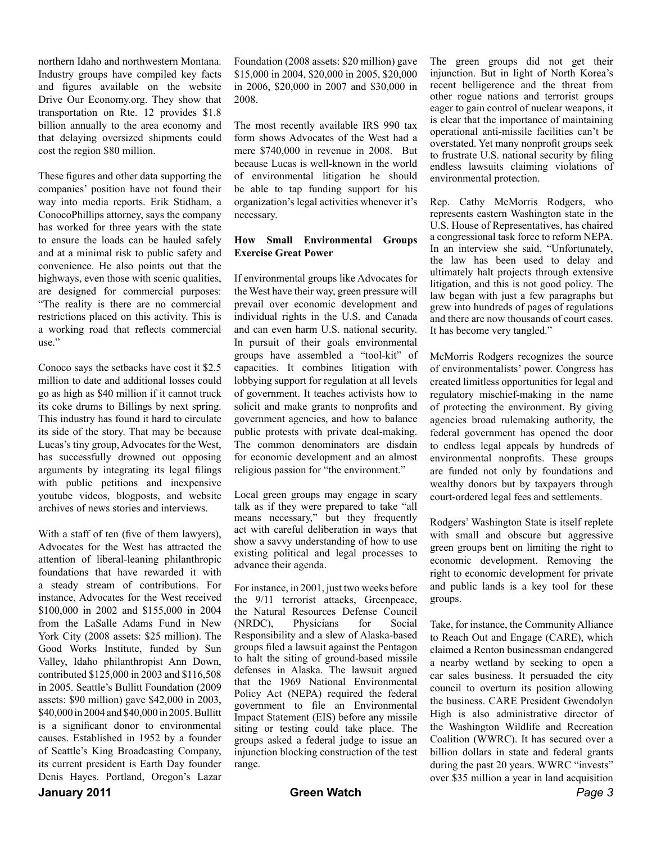northern Idaho and northwestern Montana. Industry groups have compiled key facts and figures available on the website Drive Our Economy.org. They show that transportation on Rte. 12 provides \$1.8 billion annually to the area economy and that delaying oversized shipments could cost the region \$80 million.

These figures and other data supporting the companies' position have not found their way into media reports. Erik Stidham, a ConocoPhillips attorney, says the company has worked for three years with the state to ensure the loads can be hauled safely and at a minimal risk to public safety and convenience. He also points out that the highways, even those with scenic qualities, are designed for commercial purposes: "The reality is there are no commercial restrictions placed on this activity. This is a working road that reflects commercial use."

Conoco says the setbacks have cost it \$2.5 million to date and additional losses could go as high as \$40 million if it cannot truck its coke drums to Billings by next spring. This industry has found it hard to circulate its side of the story. That may be because Lucas's tiny group, Advocates for the West, has successfully drowned out opposing arguments by integrating its legal filings with public petitions and inexpensive youtube videos, blogposts, and website archives of news stories and interviews.

With a staff of ten (five of them lawyers), Advocates for the West has attracted the attention of liberal-leaning philanthropic foundations that have rewarded it with a steady stream of contributions. For instance, Advocates for the West received \$100,000 in 2002 and \$155,000 in 2004 from the LaSalle Adams Fund in New York City (2008 assets: \$25 million). The Good Works Institute, funded by Sun Valley, Idaho philanthropist Ann Down, contributed \$125,000 in 2003 and \$116,508 in 2005. Seattle's Bullitt Foundation (2009 assets: \$90 million) gave \$42,000 in 2003, \$40,000 in 2004 and \$40,000 in 2005. Bullitt is a significant donor to environmental causes. Established in 1952 by a founder of Seattle's King Broadcasting Company, its current president is Earth Day founder Denis Hayes. Portland, Oregon's Lazar

Foundation (2008 assets: \$20 million) gave \$15,000 in 2004, \$20,000 in 2005, \$20,000 in 2006, \$20,000 in 2007 and \$30,000 in 2008.

The most recently available IRS 990 tax form shows Advocates of the West had a mere \$740,000 in revenue in 2008. But because Lucas is well-known in the world of environmental litigation he should be able to tap funding support for his organization's legal activities whenever it's necessary.

#### **How Small Environmental Groups Exercise Great Power**

If environmental groups like Advocates for the West have their way, green pressure will prevail over economic development and individual rights in the U.S. and Canada and can even harm U.S. national security. In pursuit of their goals environmental groups have assembled a "tool-kit" of capacities. It combines litigation with lobbying support for regulation at all levels of government. It teaches activists how to solicit and make grants to nonprofits and government agencies, and how to balance public protests with private deal-making. The common denominators are disdain for economic development and an almost religious passion for "the environment."

Local green groups may engage in scary talk as if they were prepared to take "all means necessary," but they frequently act with careful deliberation in ways that show a savvy understanding of how to use existing political and legal processes to advance their agenda.

For instance, in 2001, just two weeks before the 9/11 terrorist attacks, Greenpeace, the Natural Resources Defense Council (NRDC), Physicians for Social Responsibility and a slew of Alaska-based groups filed a lawsuit against the Pentagon to halt the siting of ground-based missile defenses in Alaska. The lawsuit argued that the 1969 National Environmental Policy Act (NEPA) required the federal government to file an Environmental Impact Statement (EIS) before any missile siting or testing could take place. The groups asked a federal judge to issue an injunction blocking construction of the test range.

The green groups did not get their injunction. But in light of North Korea's recent belligerence and the threat from other rogue nations and terrorist groups eager to gain control of nuclear weapons, it is clear that the importance of maintaining operational anti-missile facilities can't be overstated. Yet many nonprofit groups seek to frustrate U.S. national security by filing endless lawsuits claiming violations of environmental protection.

Rep. Cathy McMorris Rodgers, who represents eastern Washington state in the U.S. House of Representatives, has chaired a congressional task force to reform NEPA. In an interview she said, "Unfortunately, the law has been used to delay and ultimately halt projects through extensive litigation, and this is not good policy. The law began with just a few paragraphs but grew into hundreds of pages of regulations and there are now thousands of court cases. It has become very tangled."

McMorris Rodgers recognizes the source of environmentalists' power. Congress has created limitless opportunities for legal and regulatory mischief-making in the name of protecting the environment. By giving agencies broad rulemaking authority, the federal government has opened the door to endless legal appeals by hundreds of environmental nonprofits. These groups are funded not only by foundations and wealthy donors but by taxpayers through court-ordered legal fees and settlements.

Rodgers' Washington State is itself replete with small and obscure but aggressive green groups bent on limiting the right to economic development. Removing the right to economic development for private and public lands is a key tool for these groups.

Take, for instance, the Community Alliance to Reach Out and Engage (CARE), which claimed a Renton businessman endangered a nearby wetland by seeking to open a car sales business. It persuaded the city council to overturn its position allowing the business. CARE President Gwendolyn High is also administrative director of the Washington Wildlife and Recreation Coalition (WWRC). It has secured over a billion dollars in state and federal grants during the past 20 years. WWRC "invests" over \$35 million a year in land acquisition

#### **January 2011 Green Watch** *Page 3*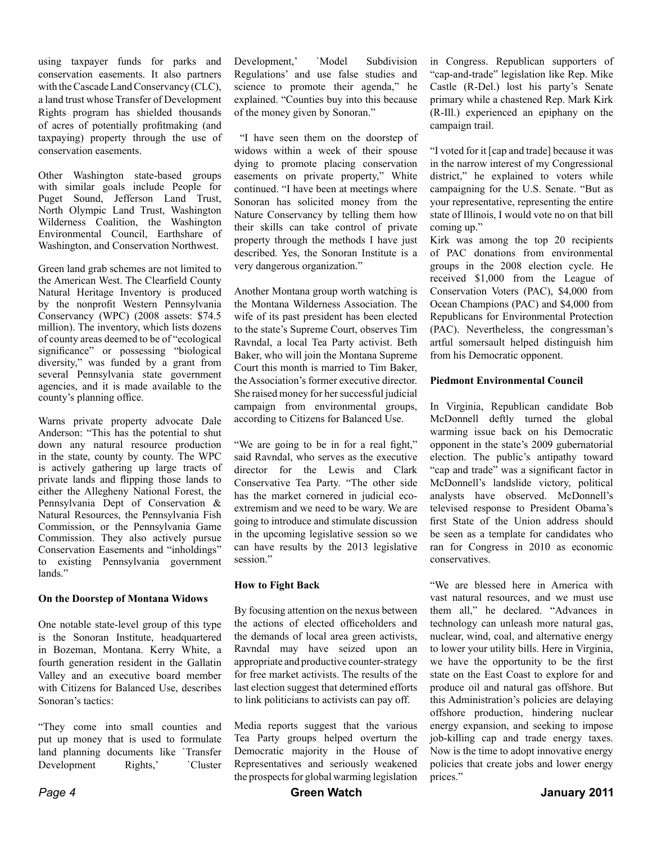using taxpayer funds for parks and conservation easements. It also partners with the Cascade Land Conservancy (CLC), a land trust whose Transfer of Development Rights program has shielded thousands of acres of potentially profitmaking (and taxpaying) property through the use of conservation easements.

Other Washington state-based groups with similar goals include People for Puget Sound, Jefferson Land Trust, North Olympic Land Trust, Washington Wilderness Coalition, the Washington Environmental Council, Earthshare of Washington, and Conservation Northwest.

Green land grab schemes are not limited to the American West. The Clearfield County Natural Heritage Inventory is produced by the nonprofit Western Pennsylvania Conservancy (WPC) (2008 assets: \$74.5 million). The inventory, which lists dozens of county areas deemed to be of "ecological significance" or possessing "biological diversity," was funded by a grant from several Pennsylvania state government agencies, and it is made available to the county's planning office.

Warns private property advocate Dale Anderson: "This has the potential to shut down any natural resource production in the state, county by county. The WPC is actively gathering up large tracts of private lands and flipping those lands to either the Allegheny National Forest, the Pennsylvania Dept of Conservation & Natural Resources, the Pennsylvania Fish Commission, or the Pennsylvania Game Commission. They also actively pursue Conservation Easements and "inholdings" to existing Pennsylvania government lands."

#### **On the Doorstep of Montana Widows**

One notable state-level group of this type is the Sonoran Institute, headquartered in Bozeman, Montana. Kerry White, a fourth generation resident in the Gallatin Valley and an executive board member with Citizens for Balanced Use, describes Sonoran's tactics:

"They come into small counties and put up money that is used to formulate land planning documents like `Transfer Development Rights,' Cluster Development,' 'Model Subdivision Regulations' and use false studies and science to promote their agenda," he explained. "Counties buy into this because of the money given by Sonoran."

 "I have seen them on the doorstep of widows within a week of their spouse dying to promote placing conservation easements on private property," White continued. "I have been at meetings where Sonoran has solicited money from the Nature Conservancy by telling them how their skills can take control of private property through the methods I have just described. Yes, the Sonoran Institute is a very dangerous organization."

Another Montana group worth watching is the Montana Wilderness Association. The wife of its past president has been elected to the state's Supreme Court, observes Tim Ravndal, a local Tea Party activist. Beth Baker, who will join the Montana Supreme Court this month is married to Tim Baker, the Association's former executive director. She raised money for her successful judicial campaign from environmental groups, according to Citizens for Balanced Use.

"We are going to be in for a real fight," said Ravndal, who serves as the executive director for the Lewis and Clark Conservative Tea Party. "The other side has the market cornered in judicial ecoextremism and we need to be wary. We are going to introduce and stimulate discussion in the upcoming legislative session so we can have results by the 2013 legislative session."

#### **How to Fight Back**

By focusing attention on the nexus between the actions of elected officeholders and the demands of local area green activists, Ravndal may have seized upon an appropriate and productive counter-strategy for free market activists. The results of the last election suggest that determined efforts to link politicians to activists can pay off.

Media reports suggest that the various Tea Party groups helped overturn the Democratic majority in the House of Representatives and seriously weakened the prospects for global warming legislation in Congress. Republican supporters of "cap-and-trade" legislation like Rep. Mike Castle (R-Del.) lost his party's Senate primary while a chastened Rep. Mark Kirk (R-Ill.) experienced an epiphany on the campaign trail.

"I voted for it [cap and trade] because it was in the narrow interest of my Congressional district," he explained to voters while campaigning for the U.S. Senate. "But as your representative, representing the entire state of Illinois, I would vote no on that bill coming up."

Kirk was among the top 20 recipients of PAC donations from environmental groups in the 2008 election cycle. He received \$1,000 from the League of Conservation Voters (PAC), \$4,000 from Ocean Champions (PAC) and \$4,000 from Republicans for Environmental Protection (PAC). Nevertheless, the congressman's artful somersault helped distinguish him from his Democratic opponent.

#### **Piedmont Environmental Council**

In Virginia, Republican candidate Bob McDonnell deftly turned the global warming issue back on his Democratic opponent in the state's 2009 gubernatorial election. The public's antipathy toward "cap and trade" was a significant factor in McDonnell's landslide victory, political analysts have observed. McDonnell's televised response to President Obama's first State of the Union address should be seen as a template for candidates who ran for Congress in 2010 as economic conservatives.

"We are blessed here in America with vast natural resources, and we must use them all," he declared. "Advances in technology can unleash more natural gas, nuclear, wind, coal, and alternative energy to lower your utility bills. Here in Virginia, we have the opportunity to be the first state on the East Coast to explore for and produce oil and natural gas offshore. But this Administration's policies are delaying offshore production, hindering nuclear energy expansion, and seeking to impose job-killing cap and trade energy taxes. Now is the time to adopt innovative energy policies that create jobs and lower energy prices."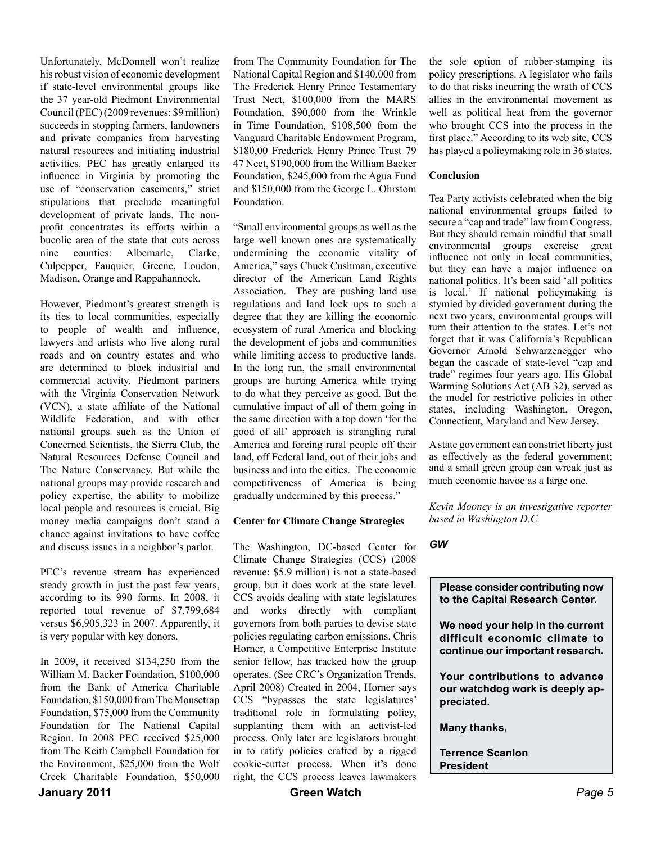Unfortunately, McDonnell won't realize his robust vision of economic development if state-level environmental groups like the 37 year-old Piedmont Environmental Council (PEC) (2009 revenues: \$9 million) succeeds in stopping farmers, landowners and private companies from harvesting natural resources and initiating industrial activities. PEC has greatly enlarged its influence in Virginia by promoting the use of "conservation easements," strict stipulations that preclude meaningful development of private lands. The nonprofit concentrates its efforts within a bucolic area of the state that cuts across nine counties: Albemarle, Clarke, Culpepper, Fauquier, Greene, Loudon, Madison, Orange and Rappahannock.

However, Piedmont's greatest strength is its ties to local communities, especially to people of wealth and influence, lawyers and artists who live along rural roads and on country estates and who are determined to block industrial and commercial activity. Piedmont partners with the Virginia Conservation Network (VCN), a state affiliate of the National Wildlife Federation, and with other national groups such as the Union of Concerned Scientists, the Sierra Club, the Natural Resources Defense Council and The Nature Conservancy. But while the national groups may provide research and policy expertise, the ability to mobilize local people and resources is crucial. Big money media campaigns don't stand a chance against invitations to have coffee and discuss issues in a neighbor's parlor.

PEC's revenue stream has experienced steady growth in just the past few years, according to its 990 forms. In 2008, it reported total revenue of \$7,799,684 versus \$6,905,323 in 2007. Apparently, it is very popular with key donors.

**January 2011 Green Watch** *Page 5* In 2009, it received \$134,250 from the William M. Backer Foundation, \$100,000 from the Bank of America Charitable Foundation, \$150,000 from The Mousetrap Foundation, \$75,000 from the Community Foundation for The National Capital Region. In 2008 PEC received \$25,000 from The Keith Campbell Foundation for the Environment, \$25,000 from the Wolf Creek Charitable Foundation, \$50,000

from The Community Foundation for The National Capital Region and \$140,000 from The Frederick Henry Prince Testamentary Trust Nect, \$100,000 from the MARS Foundation, \$90,000 from the Wrinkle in Time Foundation, \$108,500 from the Vanguard Charitable Endowment Program, \$180,00 Frederick Henry Prince Trust 79 47 Nect, \$190,000 from the William Backer Foundation, \$245,000 from the Agua Fund and \$150,000 from the George L. Ohrstom Foundation.

"Small environmental groups as well as the large well known ones are systematically undermining the economic vitality of America," says Chuck Cushman, executive director of the American Land Rights Association. They are pushing land use regulations and land lock ups to such a degree that they are killing the economic ecosystem of rural America and blocking the development of jobs and communities while limiting access to productive lands. In the long run, the small environmental groups are hurting America while trying to do what they perceive as good. But the cumulative impact of all of them going in the same direction with a top down 'for the good of all' approach is strangling rural America and forcing rural people off their land, off Federal land, out of their jobs and business and into the cities. The economic competitiveness of America is being gradually undermined by this process."

#### **Center for Climate Change Strategies**

The Washington, DC-based Center for Climate Change Strategies (CCS) (2008 revenue: \$5.9 million) is not a state-based group, but it does work at the state level. CCS avoids dealing with state legislatures and works directly with compliant governors from both parties to devise state policies regulating carbon emissions. Chris Horner, a Competitive Enterprise Institute senior fellow, has tracked how the group operates. (See CRC's Organization Trends, April 2008) Created in 2004, Horner says CCS "bypasses the state legislatures' traditional role in formulating policy, supplanting them with an activist-led process. Only later are legislators brought in to ratify policies crafted by a rigged cookie-cutter process. When it's done right, the CCS process leaves lawmakers

the sole option of rubber-stamping its policy prescriptions. A legislator who fails to do that risks incurring the wrath of CCS allies in the environmental movement as well as political heat from the governor who brought CCS into the process in the first place." According to its web site, CCS has played a policymaking role in 36 states.

#### **Conclusion**

Tea Party activists celebrated when the big national environmental groups failed to secure a "cap and trade" law from Congress. But they should remain mindful that small environmental groups exercise great influence not only in local communities, but they can have a major influence on national politics. It's been said 'all politics is local.' If national policymaking is stymied by divided government during the next two years, environmental groups will turn their attention to the states. Let's not forget that it was California's Republican Governor Arnold Schwarzenegger who began the cascade of state-level "cap and trade" regimes four years ago. His Global Warming Solutions Act (AB 32), served as the model for restrictive policies in other states, including Washington, Oregon, Connecticut, Maryland and New Jersey.

A state government can constrict liberty just as effectively as the federal government; and a small green group can wreak just as much economic havoc as a large one.

*Kevin Mooney is an investigative reporter based in Washington D.C.*

*GW*

#### **Please consider contributing now to the Capital Research Center.**

**We need your help in the current difficult economic climate to continue our important research.**

**Your contributions to advance our watchdog work is deeply appreciated.**

**Many thanks,**

**Terrence Scanlon President**